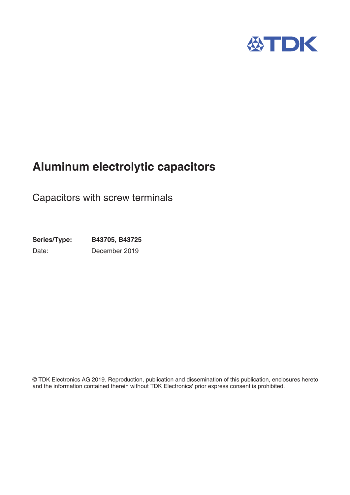

# **Aluminum electrolytic capacitors**

Capacitors with screw terminals

**Series/Type: B43705, B43725** Date: December 2019

© TDK Electronics AG 2019. Reproduction, publication and dissemination of this publication, enclosures hereto and the information contained therein without TDK Electronics' prior express consent is prohibited.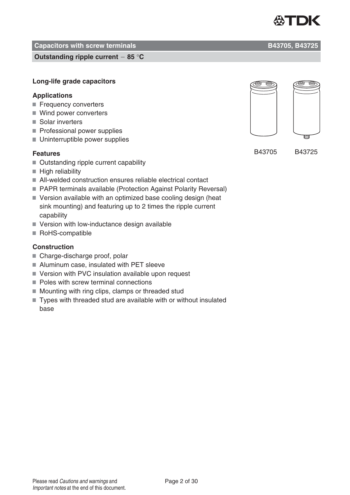#### **Capacitors with screw terminals Capacitors With Screw terminals Capacitors B43705, B43725**

**Outstanding ripple current 85** °**C**

### **Long-life grade capacitors**

### **Applications**

- Frequency converters
- Wind power converters
- Solar inverters
- Professional power supplies
- Uninterruptible power supplies

### **Features**

- Outstanding ripple current capability
- $\blacksquare$  High reliability
- All-welded construction ensures reliable electrical contact
- PAPR terminals available (Protection Against Polarity Reversal)
- Version available with an optimized base cooling design (heat sink mounting) and featuring up to 2 times the ripple current capability
- Version with low-inductance design available
- RoHS-compatible

### **Construction**

- Charge-discharge proof, polar
- Aluminum case, insulated with PET sleeve
- Version with PVC insulation available upon request
- Poles with screw terminal connections
- Mounting with ring clips, clamps or threaded stud
- Types with threaded stud are available with or without insulated base

B43705 B43725



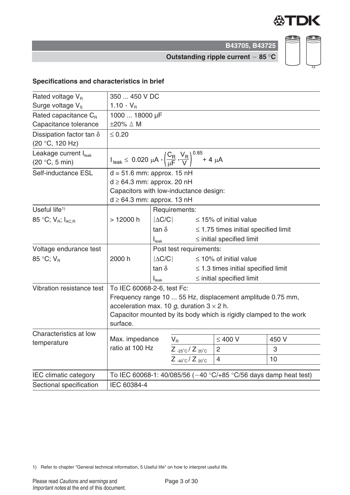

CD

CD

**B43705, B43725**

**Outstanding ripple current 85** °**C**

### **Specifications and characteristics in brief**

| Rated voltage $V_R$               |                                                                                                                 | 350  450 V DC     |                                  |  |                                           |                                                                     |  |  |
|-----------------------------------|-----------------------------------------------------------------------------------------------------------------|-------------------|----------------------------------|--|-------------------------------------------|---------------------------------------------------------------------|--|--|
| Surge voltage V <sub>s</sub>      | $1.10 \cdot V_{B}$                                                                                              |                   |                                  |  |                                           |                                                                     |  |  |
| Rated capacitance $C_{B}$         | 1000  18000 µF                                                                                                  |                   |                                  |  |                                           |                                                                     |  |  |
| Capacitance tolerance             | $\pm 20\% \triangleq M$                                                                                         |                   |                                  |  |                                           |                                                                     |  |  |
| Dissipation factor tan $\delta$   | $\leq 0.20$                                                                                                     |                   |                                  |  |                                           |                                                                     |  |  |
| (20 °C, 120 Hz)                   |                                                                                                                 |                   |                                  |  |                                           |                                                                     |  |  |
| Leakage current I <sub>leak</sub> | $I_{\text{leak}} \le 0.020 \ \mu A \cdot \left(\frac{C_R}{\mu F} \cdot \frac{V_R}{V}\right)^{0.85} + 4 \ \mu A$ |                   |                                  |  |                                           |                                                                     |  |  |
| (20 °C, 5 min)                    |                                                                                                                 |                   |                                  |  |                                           |                                                                     |  |  |
| Self-inductance ESL               | $d = 51.6$ mm: approx. 15 nH                                                                                    |                   |                                  |  |                                           |                                                                     |  |  |
|                                   | $d \geq 64.3$ mm: approx. 20 nH                                                                                 |                   |                                  |  |                                           |                                                                     |  |  |
|                                   | Capacitors with low-inductance design:                                                                          |                   |                                  |  |                                           |                                                                     |  |  |
|                                   | $d \geq 64.3$ mm: approx. 13 nH                                                                                 |                   |                                  |  |                                           |                                                                     |  |  |
| Useful life $1$                   |                                                                                                                 |                   | Requirements:                    |  |                                           |                                                                     |  |  |
| 85 °C; $V_{B}$ ; $I_{AC,B}$       | >12000 h                                                                                                        | $ \Delta C/C $    |                                  |  | $\leq$ 15% of initial value               |                                                                     |  |  |
|                                   |                                                                                                                 | $\tan \delta$     |                                  |  | $\leq$ 1.75 times initial specified limit |                                                                     |  |  |
|                                   |                                                                                                                 | $I_{\text{leak}}$ |                                  |  | $\le$ initial specified limit             |                                                                     |  |  |
| Voltage endurance test            |                                                                                                                 |                   | Post test requirements:          |  |                                           |                                                                     |  |  |
| 85 °C; V <sub>B</sub>             | 2000 h                                                                                                          | $ \Delta C/C $    |                                  |  | $\leq$ 10% of initial value               |                                                                     |  |  |
|                                   |                                                                                                                 | tan $\delta$      |                                  |  | $\leq$ 1.3 times initial specified limit  |                                                                     |  |  |
|                                   |                                                                                                                 | $I_{\text{leak}}$ |                                  |  | $\le$ initial specified limit             |                                                                     |  |  |
| Vibration resistance test         | To IEC 60068-2-6, test Fc:                                                                                      |                   |                                  |  |                                           |                                                                     |  |  |
|                                   |                                                                                                                 |                   |                                  |  |                                           | Frequency range 10  55 Hz, displacement amplitude 0.75 mm,          |  |  |
|                                   | acceleration max. 10 g, duration $3 \times 2$ h.                                                                |                   |                                  |  |                                           |                                                                     |  |  |
|                                   |                                                                                                                 |                   |                                  |  |                                           | Capacitor mounted by its body which is rigidly clamped to the work  |  |  |
|                                   | surface.                                                                                                        |                   |                                  |  |                                           |                                                                     |  |  |
| Characteristics at low            |                                                                                                                 |                   |                                  |  |                                           |                                                                     |  |  |
| temperature                       | Max. impedance                                                                                                  |                   | $V_{\rm R}$                      |  | $\leq 400$ V                              | 450 V                                                               |  |  |
|                                   | ratio at 100 Hz                                                                                                 |                   | $Z_{-25\degree}C/Z_{20\degree}C$ |  | $\overline{2}$                            | 3                                                                   |  |  |
|                                   |                                                                                                                 |                   | $Z_{-40\degree}C/Z_{20\degree}C$ |  | 4                                         | 10                                                                  |  |  |
| IEC climatic category             |                                                                                                                 |                   |                                  |  |                                           | To IEC 60068-1: 40/085/56 ( $-40$ °C/+85 °C/56 days damp heat test) |  |  |
| Sectional specification           | IEC 60384-4                                                                                                     |                   |                                  |  |                                           |                                                                     |  |  |

1) Refer to chapter "General technical information, 5 Useful life" on how to interpret useful life.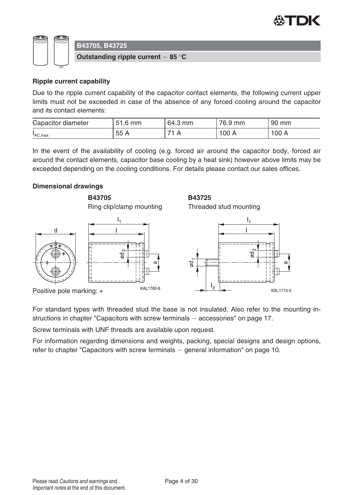



#### **Ripple current capability**

Due to the ripple current capability of the capacitor contact elements, the following current upper limits must not be exceeded in case of the absence of any forced cooling around the capacitor and its contact elements:

| Capacitor diameter | 51.6<br>mm | 64.3<br>mm | 76.9<br>mm | 90 mm |
|--------------------|------------|------------|------------|-------|
| IAC, max           | 55 A       |            | 100A       | 100 A |

In the event of the availability of cooling (e.g. forced air around the capacitor body, forced air around the contact elements, capacitor base cooling by a heat sink) however above limits may be exceeded depending on the cooling conditions. For details please contact our sales offices.

#### **Dimensional drawings**

**B43705** Ring clip/clamp mounting









**B43725**



For standard types with threaded stud the base is not insulated. Also refer to the mounting instructions in chapter "Capacitors with screw terminals  $-$  accessories" on page 17.

Screw terminals with UNF threads are available upon request.

For information regarding dimensions and weights, packing, special designs and design options, refer to chapter "Capacitors with screw terminals  $-$  general information" on page 10.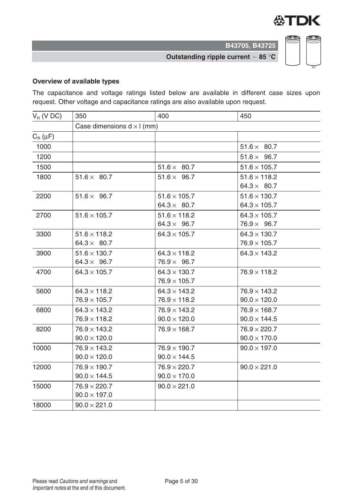

**Outstanding ripple current 85** °**C**

#### **Overview of available types**

The capacitance and voltage ratings listed below are available in different case sizes upon request. Other voltage and capacitance ratings are also available upon request.

| $V_R$ (V DC)           | 350                                        | 400                                        | 450                                        |  |  |  |  |  |  |
|------------------------|--------------------------------------------|--------------------------------------------|--------------------------------------------|--|--|--|--|--|--|
|                        | Case dimensions $d \times l$ (mm)          |                                            |                                            |  |  |  |  |  |  |
| $C_{\rm R}$ ( $\mu$ F) |                                            |                                            |                                            |  |  |  |  |  |  |
| 1000                   |                                            |                                            | $51.6 \times 80.7$                         |  |  |  |  |  |  |
| 1200                   |                                            |                                            | $51.6 \times 96.7$                         |  |  |  |  |  |  |
| 1500                   |                                            | $51.6 \times 80.7$                         | $51.6 \times 105.7$                        |  |  |  |  |  |  |
| 1800                   | $51.6 \times 80.7$                         | $51.6 \times 96.7$                         | $51.6 \times 118.2$<br>$64.3 \times 80.7$  |  |  |  |  |  |  |
| 2200                   | $51.6 \times 96.7$                         | $51.6 \times 105.7$<br>$64.3 \times 80.7$  | $51.6 \times 130.7$<br>$64.3 \times 105.7$ |  |  |  |  |  |  |
| 2700                   | $51.6 \times 105.7$                        | $51.6 \times 118.2$<br>$64.3 \times 96.7$  | $64.3 \times 105.7$<br>$76.9 \times 96.7$  |  |  |  |  |  |  |
| 3300                   | $51.6 \times 118.2$<br>$64.3 \times 80.7$  | $64.3 \times 105.7$                        | $64.3 \times 130.7$<br>$76.9 \times 105.7$ |  |  |  |  |  |  |
| 3900                   | $51.6 \times 130.7$<br>$64.3 \times 96.7$  | $64.3 \times 118.2$<br>$76.9 \times 96.7$  | $64.3 \times 143.2$                        |  |  |  |  |  |  |
| 4700                   | $64.3 \times 105.7$                        | $64.3 \times 130.7$<br>$76.9 \times 105.7$ | $76.9 \times 118.2$                        |  |  |  |  |  |  |
| 5600                   | $64.3 \times 118.2$<br>$76.9 \times 105.7$ | $64.3 \times 143.2$<br>$76.9 \times 118.2$ | $76.9 \times 143.2$<br>$90.0 \times 120.0$ |  |  |  |  |  |  |
| 6800                   | $64.3 \times 143.2$<br>$76.9 \times 118.2$ | $76.9 \times 143.2$<br>$90.0 \times 120.0$ | $76.9 \times 168.7$<br>$90.0 \times 144.5$ |  |  |  |  |  |  |
| 8200                   | $76.9 \times 143.2$<br>$90.0 \times 120.0$ | $76.9 \times 168.7$                        | $76.9 \times 220.7$<br>$90.0 \times 170.0$ |  |  |  |  |  |  |
| 10000                  | $76.9 \times 143.2$<br>$90.0 \times 120.0$ | $76.9 \times 190.7$<br>$90.0 \times 144.5$ | $90.0 \times 197.0$                        |  |  |  |  |  |  |
| 12000                  | $76.9 \times 190.7$<br>$90.0 \times 144.5$ | $76.9 \times 220.7$<br>$90.0 \times 170.0$ | $90.0 \times 221.0$                        |  |  |  |  |  |  |
| 15000                  | $76.9 \times 220.7$<br>$90.0 \times 197.0$ | $90.0 \times 221.0$                        |                                            |  |  |  |  |  |  |
| 18000                  | $90.0 \times 221.0$                        |                                            |                                            |  |  |  |  |  |  |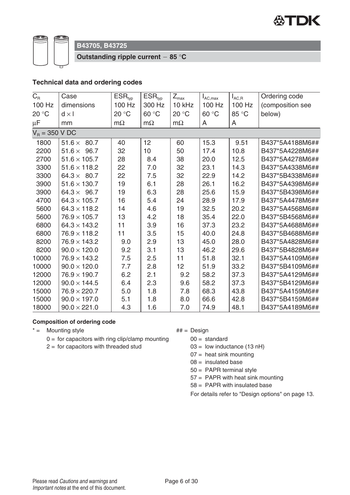

**Outstanding ripple current 85** °**C**

#### **Technical data and ordering codes**

| $C_{R}$          | Case                 | $ESR_{typ}$ | $ESR_{typ}$ | $Z_{\text{max}}$ | $I_{AC,max}$ | $I_{AC,R}$ | Ordering code    |
|------------------|----------------------|-------------|-------------|------------------|--------------|------------|------------------|
| 100 Hz           | dimensions           | 100 Hz      | 300 Hz      | 10 kHz           | 100 Hz       | 100 Hz     | (composition see |
| 20 °C            | $d \times l$         | 20 °C       | 60 °C       | 20 °C            | 60 °C        | 85 °C      | below)           |
| $\mu$ F          | mm                   | $m\Omega$   | $m\Omega$   | $m\Omega$        | A            | A          |                  |
| $V_R = 350 V DC$ |                      |             |             |                  |              |            |                  |
| 1800             | 80.7<br>$51.6\times$ | 40          | 12          | 60               | 15.3         | 9.51       | B437*5A4188M6##  |
| 2200             | $51.6 \times 96.7$   | 32          | 10          | 50               | 17.4         | 10.8       | B437*5A4228M6##  |
| 2700             | $51.6 \times 105.7$  | 28          | 8.4         | 38               | 20.0         | 12.5       | B437*5A4278M6##  |
| 3300             | $51.6 \times 118.2$  | 22          | 7.0         | 32               | 23.1         | 14.3       | B437*5A4338M6##  |
| 3300             | $64.3 \times 80.7$   | 22          | 7.5         | 32               | 22.9         | 14.2       | B437*5B4338M6##  |
| 3900             | $51.6 \times 130.7$  | 19          | 6.1         | 28               | 26.1         | 16.2       | B437*5A4398M6##  |
| 3900             | $64.3 \times 96.7$   | 19          | 6.3         | 28               | 25.6         | 15.9       | B437*5B4398M6##  |
| 4700             | $64.3 \times 105.7$  | 16          | 5.4         | 24               | 28.9         | 17.9       | B437*5A4478M6##  |
| 5600             | $64.3 \times 118.2$  | 14          | 4.6         | 19               | 32.5         | 20.2       | B437*5A4568M6##  |
| 5600             | $76.9 \times 105.7$  | 13          | 4.2         | 18               | 35.4         | 22.0       | B437*5B4568M6##  |
| 6800             | $64.3 \times 143.2$  | 11          | 3.9         | 16               | 37.3         | 23.2       | B437*5A4688M6##  |
| 6800             | $76.9 \times 118.2$  | 11          | 3.5         | 15               | 40.0         | 24.8       | B437*5B4688M6##  |
| 8200             | $76.9 \times 143.2$  | 9.0         | 2.9         | 13               | 45.0         | 28.0       | B437*5A4828M6##  |
| 8200             | $90.0 \times 120.0$  | 9.2         | 3.1         | 13               | 46.2         | 29.6       | B437*5B4828M6##  |
| 10000            | $76.9 \times 143.2$  | 7.5         | 2.5         | 11               | 51.8         | 32.1       | B437*5A4109M6##  |
| 10000            | $90.0 \times 120.0$  | 7.7         | 2.8         | 12               | 51.9         | 33.2       | B437*5B4109M6##  |
| 12000            | $76.9 \times 190.7$  | 6.2         | 2.1         | 9.2              | 58.2         | 37.3       | B437*5A4129M6##  |
| 12000            | $90.0 \times 144.5$  | 6.4         | 2.3         | 9.6              | 58.2         | 37.3       | B437*5B4129M6##  |
| 15000            | $76.9 \times 220.7$  | 5.0         | 1.8         | 7.8              | 68.3         | 43.8       | B437*5A4159M6##  |
| 15000            | $90.0 \times 197.0$  | 5.1         | 1.8         | 8.0              | 66.6         | 42.8       | B437*5B4159M6##  |
| 18000            | $90.0 \times 221.0$  | 4.3         | 1.6         | 7.0              | 74.9         | 48.1       | B437*5A4189M6##  |

#### **Composition of ordering code**

- $* =$  Mounting style  $* =$  Mounting style
	- $0 =$  for capacitors with ring clip/clamp mounting
	- $2 =$  for capacitors with threaded stud

- $00 =$  standard
- $03 =$  low inductance (13 nH)
- $07$  = heat sink mounting
- $08 =$  insulated base
- 50 = PAPR terminal style
- 57 = PAPR with heat sink mounting
- 58 = PAPR with insulated base

For details refer to "Design options" on page 13.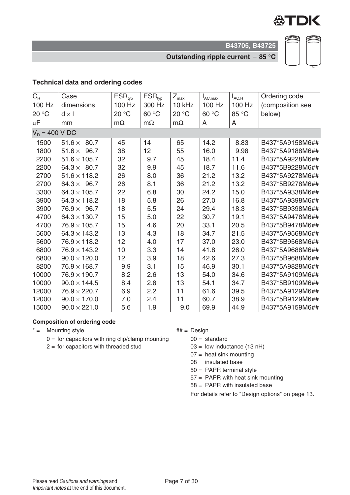

**Outstanding ripple current 85** °**C**

#### **Technical data and ordering codes**

| $C_R$            | Case                  | $ESR_{typ}$     | $ESR_{typ}$ | $Z_{\text{max}}$ | $I_{AC,max}$ | $I_{AC,R}$ | Ordering code    |
|------------------|-----------------------|-----------------|-------------|------------------|--------------|------------|------------------|
| 100 Hz           | dimensions            | 100 Hz          | 300 Hz      | 10 kHz           | 100 Hz       | 100 Hz     | (composition see |
| 20 °C            | $d \times l$          | 20 °C           | 60 °C       | 20 °C            | 60 °C        | 85 °C      | below)           |
| $\mu$ F          | mm                    | $m\Omega$       | $m\Omega$   | $m\Omega$        | A            | A          |                  |
| $V_R = 400 V DC$ |                       |                 |             |                  |              |            |                  |
| 1500             | $51.6 \times$<br>80.7 | 45              | 14          | 65               | 14.2         | 8.83       | B437*5A9158M6##  |
| 1800             | $51.6 \times 96.7$    | 38              | 12          | 55               | 16.0         | 9.98       | B437*5A9188M6##  |
| 2200             | $51.6 \times 105.7$   | 32              | 9.7         | 45               | 18.4         | 11.4       | B437*5A9228M6##  |
| 2200             | $64.3 \times 80.7$    | 32              | 9.9         | 45               | 18.7         | 11.6       | B437*5B9228M6##  |
| 2700             | $51.6 \times 118.2$   | 26              | 8.0         | 36               | 21.2         | 13.2       | B437*5A9278M6##  |
| 2700             | $64.3 \times 96.7$    | 26              | 8.1         | 36               | 21.2         | 13.2       | B437*5B9278M6##  |
| 3300             | $64.3 \times 105.7$   | 22              | 6.8         | 30               | 24.2         | 15.0       | B437*5A9338M6##  |
| 3900             | $64.3 \times 118.2$   | 18              | 5.8         | 26               | 27.0         | 16.8       | B437*5A9398M6##  |
| 3900             | $76.9 \times 96.7$    | 18              | 5.5         | 24               | 29.4         | 18.3       | B437*5B9398M6##  |
| 4700             | $64.3 \times 130.7$   | 15              | 5.0         | 22               | 30.7         | 19.1       | B437*5A9478M6##  |
| 4700             | $76.9 \times 105.7$   | 15              | 4.6         | 20               | 33.1         | 20.5       | B437*5B9478M6##  |
| 5600             | $64.3 \times 143.2$   | 13              | 4.3         | 18               | 34.7         | 21.5       | B437*5A9568M6##  |
| 5600             | $76.9 \times 118.2$   | 12              | 4.0         | 17               | 37.0         | 23.0       | B437*5B9568M6##  |
| 6800             | $76.9 \times 143.2$   | 10              | 3.3         | 14               | 41.8         | 26.0       | B437*5A9688M6##  |
| 6800             | $90.0 \times 120.0$   | 12 <sub>2</sub> | 3.9         | 18               | 42.6         | 27.3       | B437*5B9688M6##  |
| 8200             | $76.9 \times 168.7$   | 9.9             | 3.1         | 15               | 46.9         | 30.1       | B437*5A9828M6##  |
| 10000            | $76.9 \times 190.7$   | 8.2             | 2.6         | 13               | 54.0         | 34.6       | B437*5A9109M6##  |
| 10000            | $90.0 \times 144.5$   | 8.4             | 2.8         | 13               | 54.1         | 34.7       | B437*5B9109M6##  |
| 12000            | $76.9 \times 220.7$   | 6.9             | 2.2         | 11               | 61.6         | 39.5       | B437*5A9129M6##  |
| 12000            | $90.0 \times 170.0$   | 7.0             | 2.4         | 11               | 60.7         | 38.9       | B437*5B9129M6##  |
| 15000            | $90.0 \times 221.0$   | 5.6             | 1.9         | 9.0              | 69.9         | 44.9       | B437*5A9159M6##  |

#### **Composition of ordering code**

- $* =$  Mounting style  $* =$  Mounting style
	- $0 =$  for capacitors with ring clip/clamp mounting
	- $2 =$  for capacitors with threaded stud

- $00 =$  standard
- $03 =$  low inductance (13 nH)
- $07$  = heat sink mounting
- $08 =$  insulated base
- 50 = PAPR terminal style
- 57 = PAPR with heat sink mounting
- 58 = PAPR with insulated base

For details refer to "Design options" on page 13.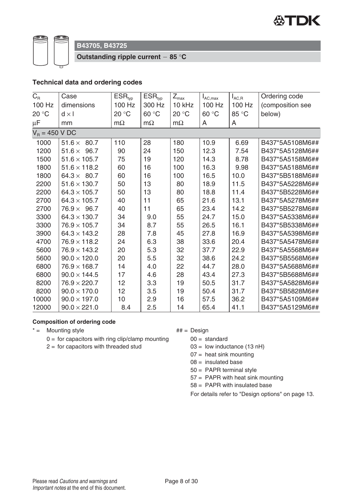

**Outstanding ripple current 85** °**C**

#### **Technical data and ordering codes**

| $C_{R}$          | Case                  | $ESR_{typ}$ | $ESR_{typ}$ | $Z_{\textrm{max}}$ | $I_{AC,max}$ | $I_{AC,R}$ | Ordering code    |
|------------------|-----------------------|-------------|-------------|--------------------|--------------|------------|------------------|
| 100 Hz           | dimensions            | 100 Hz      | 300 Hz      | 10 kHz             | 100 Hz       | 100 Hz     | (composition see |
| 20 °C            | $d \times l$          | 20 °C       | 60 °C       | 20 °C              | 60 °C        | 85 °C      | below)           |
| $\mu$ F          | mm                    | $m\Omega$   | $m\Omega$   | $m\Omega$          | A            | A          |                  |
| $V_R = 450 V DC$ |                       |             |             |                    |              |            |                  |
| 1000             | 80.7<br>$51.6 \times$ | 110         | 28          | 180                | 10.9         | 6.69       | B437*5A5108M6##  |
| 1200             | 96.7<br>$51.6 \times$ | 90          | 24          | 150                | 12.3         | 7.54       | B437*5A5128M6##  |
| 1500             | $51.6 \times 105.7$   | 75          | 19          | 120                | 14.3         | 8.78       | B437*5A5158M6##  |
| 1800             | $51.6 \times 118.2$   | 60          | 16          | 100                | 16.3         | 9.98       | B437*5A5188M6##  |
| 1800             | $64.3 \times 80.7$    | 60          | 16          | 100                | 16.5         | 10.0       | B437*5B5188M6##  |
| 2200             | $51.6 \times 130.7$   | 50          | 13          | 80                 | 18.9         | 11.5       | B437*5A5228M6##  |
| 2200             | $64.3 \times 105.7$   | 50          | 13          | 80                 | 18.8         | 11.4       | B437*5B5228M6##  |
| 2700             | $64.3 \times 105.7$   | 40          | 11          | 65                 | 21.6         | 13.1       | B437*5A5278M6##  |
| 2700             | $76.9 \times 96.7$    | 40          | 11          | 65                 | 23.4         | 14.2       | B437*5B5278M6##  |
| 3300             | $64.3 \times 130.7$   | 34          | 9.0         | 55                 | 24.7         | 15.0       | B437*5A5338M6##  |
| 3300             | $76.9 \times 105.7$   | 34          | 8.7         | 55                 | 26.5         | 16.1       | B437*5B5338M6##  |
| 3900             | $64.3 \times 143.2$   | 28          | 7.8         | 45                 | 27.8         | 16.9       | B437*5A5398M6##  |
| 4700             | $76.9 \times 118.2$   | 24          | 6.3         | 38                 | 33.6         | 20.4       | B437*5A5478M6##  |
| 5600             | $76.9 \times 143.2$   | 20          | 5.3         | 32                 | 37.7         | 22.9       | B437*5A5568M6##  |
| 5600             | $90.0 \times 120.0$   | 20          | 5.5         | 32                 | 38.6         | 24.2       | B437*5B5568M6##  |
| 6800             | $76.9 \times 168.7$   | 14          | 4.0         | 22                 | 44.7         | 28.0       | B437*5A5688M6##  |
| 6800             | $90.0 \times 144.5$   | 17          | 4.6         | 28                 | 43.4         | 27.3       | B437*5B5688M6##  |
| 8200             | $76.9 \times 220.7$   | 12          | 3.3         | 19                 | 50.5         | 31.7       | B437*5A5828M6##  |
| 8200             | $90.0 \times 170.0$   | 12          | 3.5         | 19                 | 50.4         | 31.7       | B437*5B5828M6##  |
| 10000            | $90.0 \times 197.0$   | 10          | 2.9         | 16                 | 57.5         | 36.2       | B437*5A5109M6##  |
| 12000            | $90.0 \times 221.0$   | 8.4         | 2.5         | 14                 | 65.4         | 41.1       | B437*5A5129M6##  |

#### **Composition of ordering code**

- $* =$  Mounting style  $* =$  Mounting style
	- $0 =$  for capacitors with ring clip/clamp mounting
	- $2 =$  for capacitors with threaded stud

 $00 =$  standard

 $03 =$  low inductance (13 nH)

- $07$  = heat sink mounting
- $08 =$  insulated base
- 50 = PAPR terminal style
- 57 = PAPR with heat sink mounting
- 58 = PAPR with insulated base

For details refer to "Design options" on page 13.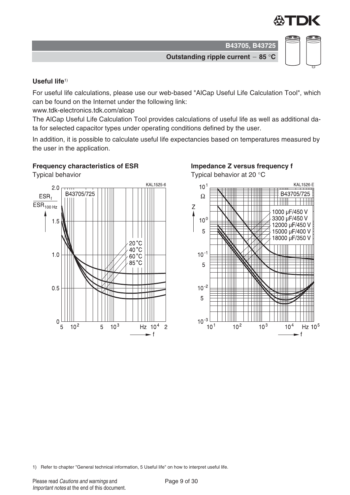

**Outstanding ripple current 85** °**C**



**Useful life**1)

For useful life calculations, please use our web-based "AlCap Useful Life Calculation Tool", which can be found on the Internet under the following link:

www.tdk-electronics.tdk.com/alcap

The AlCap Useful Life Calculation Tool provides calculations of useful life as well as additional data for selected capacitor types under operating conditions defined by the user.

In addition, it is possible to calculate useful life expectancies based on temperatures measured by the user in the application.

#### **Frequency characteristics of ESR**

Typical behavior



#### **Impedance Z versus frequency f**

Typical behavior at 20 °C



1) Refer to chapter "General technical information, 5 Useful life" on how to interpret useful life.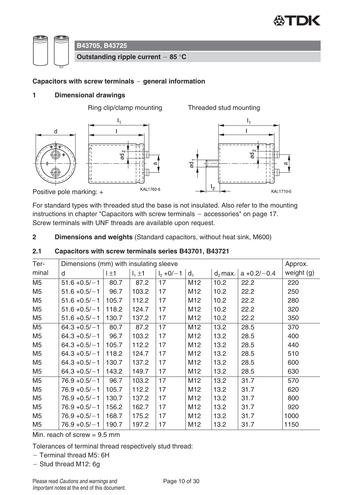



#### **Capacitors with screw terminals general information**

#### **1 Dimensional drawings**



For standard types with threaded stud the base is not insulated. Also refer to the mounting instructions in chapter "Capacitors with screw terminals  $-$  accessories" on page 17. Screw terminals with UNF threads are available upon request.

**2 Dimensions and weights** (Standard capacitors, without heat sink, M600)

| Ter-           | Dimensions (mm) with insulating sleeve |           |             |              |                 |            |                |            |
|----------------|----------------------------------------|-----------|-------------|--------------|-----------------|------------|----------------|------------|
| minal          | d                                      | $1 \pm 1$ | $I_1 \pm 1$ | $I_2 + 0/-1$ | $d_1$           | $d_2$ max. | $a + 0.2/-0.4$ | weight (g) |
| M <sub>5</sub> | $51.6 + 0.5/-1$                        | 80.7      | 87.2        | 17           | M12             | 10.2       | 22.2           | 220        |
| M <sub>5</sub> | $51.6 + 0.5/-1$                        | 96.7      | 103.2       | 17           | M <sub>12</sub> | 10.2       | 22.2           | 250        |
| M <sub>5</sub> | $51.6 + 0.5/-1$                        | 105.7     | 112.2       | 17           | M <sub>12</sub> | 10.2       | 22.2           | 280        |
| M <sub>5</sub> | $51.6 + 0.5/-1$                        | 118.2     | 124.7       | 17           | M12             | 10.2       | 22.2           | 320        |
| M5             | $51.6 + 0.5/-1$                        | 130.7     | 137.2       | 17           | M12             | 10.2       | 22.2           | 350        |
| M <sub>5</sub> | $64.3 + 0.5/-1$                        | 80.7      | 87.2        | 17           | M12             | 13.2       | 28.5           | 370        |
| M <sub>5</sub> | $64.3 + 0.5/-1$                        | 96.7      | 103.2       | 17           | M12             | 13.2       | 28.5           | 400        |
| M <sub>5</sub> | $64.3 + 0.5/-1$                        | 105.7     | 112.2       | 17           | M12             | 13.2       | 28.5           | 440        |
| M <sub>5</sub> | $64.3 + 0.5/-1$                        | 118.2     | 124.7       | 17           | M12             | 13.2       | 28.5           | 510        |
| M <sub>5</sub> | $64.3 + 0.5/-1$                        | 130.7     | 137.2       | 17           | M12             | 13.2       | 28.5           | 600        |
| M <sub>5</sub> | $64.3 + 0.5/-1$                        | 143.2     | 149.7       | 17           | M12             | 13.2       | 28.5           | 630        |
| M <sub>5</sub> | $76.9 + 0.5/-1$                        | 96.7      | 103.2       | 17           | M <sub>12</sub> | 13.2       | 31.7           | 570        |
| M <sub>5</sub> | $76.9 + 0.5/-1$                        | 105.7     | 112.2       | 17           | M <sub>12</sub> | 13.2       | 31.7           | 620        |
| M <sub>5</sub> | $76.9 + 0.5/-1$                        | 130.7     | 137.2       | 17           | M12             | 13.2       | 31.7           | 800        |
| M <sub>5</sub> | $76.9 + 0.5/-1$                        | 156.2     | 162.7       | 17           | M12             | 13.2       | 31.7           | 920        |
| M <sub>5</sub> | $76.9 + 0.5/-1$                        | 168.7     | 175.2       | 17           | M12             | 13.2       | 31.7           | 1000       |
| M <sub>5</sub> | $76.9 + 0.5/-1$                        | 190.7     | 197.2       | 17           | M12             | 13.2       | 31.7           | 1150       |

#### **2.1 Capacitors with screw terminals series B43701, B43721**

Min. reach of screw  $= 9.5$  mm

Tolerances of terminal thread respectively stud thread:

 $-$  Terminal thread M5: 6H

 $-$  Stud thread M12: 6g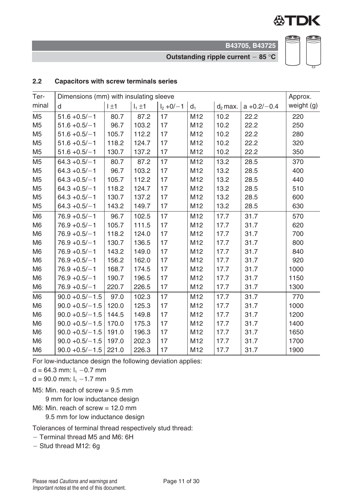

**Outstanding ripple current 85** °**C**



#### **2.2 Capacitors with screw terminals series**

| Ter-           | Dimensions (mm) with insulating sleeve |           |             |               |       |            |                | Approx.    |
|----------------|----------------------------------------|-----------|-------------|---------------|-------|------------|----------------|------------|
| minal          | d                                      | $1 \pm 1$ | $I_1 \pm 1$ | $I_2 + 0/- 1$ | $d_1$ | $d_2$ max. | $a + 0.2/-0.4$ | weight (g) |
| M <sub>5</sub> | $51.6 + 0.5/-1$                        | 80.7      | 87.2        | 17            | M12   | 10.2       | 22.2           | 220        |
| M <sub>5</sub> | $51.6 + 0.5/-1$                        | 96.7      | 103.2       | 17            | M12   | 10.2       | 22.2           | 250        |
| M <sub>5</sub> | $51.6 + 0.5/-1$                        | 105.7     | 112.2       | 17            | M12   | 10.2       | 22.2           | 280        |
| M <sub>5</sub> | $51.6 + 0.5/-1$                        | 118.2     | 124.7       | 17            | M12   | 10.2       | 22.2           | 320        |
| M <sub>5</sub> | $51.6 + 0.5/-1$                        | 130.7     | 137.2       | 17            | M12   | 10.2       | 22.2           | 350        |
| M <sub>5</sub> | $64.3 + 0.5/-1$                        | 80.7      | 87.2        | 17            | M12   | 13.2       | 28.5           | 370        |
| M <sub>5</sub> | $64.3 + 0.5/-1$                        | 96.7      | 103.2       | 17            | M12   | 13.2       | 28.5           | 400        |
| M <sub>5</sub> | $64.3 + 0.5/-1$                        | 105.7     | 112.2       | 17            | M12   | 13.2       | 28.5           | 440        |
| M <sub>5</sub> | $64.3 + 0.5/-1$                        | 118.2     | 124.7       | 17            | M12   | 13.2       | 28.5           | 510        |
| M <sub>5</sub> | $64.3 + 0.5/-1$                        | 130.7     | 137.2       | 17            | M12   | 13.2       | 28.5           | 600        |
| M <sub>5</sub> | $64.3 + 0.5/-1$                        | 143.2     | 149.7       | 17            | M12   | 13.2       | 28.5           | 630        |
| M <sub>6</sub> | $76.9 + 0.5/-1$                        | 96.7      | 102.5       | 17            | M12   | 17.7       | 31.7           | 570        |
| M <sub>6</sub> | $76.9 + 0.5/- 1$                       | 105.7     | 111.5       | 17            | M12   | 17.7       | 31.7           | 620        |
| M <sub>6</sub> | $76.9 + 0.5/- 1$                       | 118.2     | 124.0       | 17            | M12   | 17.7       | 31.7           | 700        |
| M <sub>6</sub> | $76.9 + 0.5/- 1$                       | 130.7     | 136.5       | 17            | M12   | 17.7       | 31.7           | 800        |
| M <sub>6</sub> | $76.9 + 0.5/- 1$                       | 143.2     | 149.0       | 17            | M12   | 17.7       | 31.7           | 840        |
| M <sub>6</sub> | $76.9 + 0.5/- 1$                       | 156.2     | 162.0       | 17            | M12   | 17.7       | 31.7           | 920        |
| M <sub>6</sub> | $76.9 + 0.5/- 1$                       | 168.7     | 174.5       | 17            | M12   | 17.7       | 31.7           | 1000       |
| M <sub>6</sub> | $76.9 + 0.5/- 1$                       | 190.7     | 196.5       | 17            | M12   | 17.7       | 31.7           | 1150       |
| M <sub>6</sub> | $76.9 + 0.5/- 1$                       | 220.7     | 226.5       | 17            | M12   | 17.7       | 31.7           | 1300       |
| M <sub>6</sub> | $90.0 + 0.5/- 1.5$                     | 97.0      | 102.3       | 17            | M12   | 17.7       | 31.7           | 770        |
| M <sub>6</sub> | $90.0 + 0.5/- 1.5$                     | 120.0     | 125.3       | 17            | M12   | 17.7       | 31.7           | 1000       |
| M <sub>6</sub> | $90.0 + 0.5/- 1.5$                     | 144.5     | 149.8       | 17            | M12   | 17.7       | 31.7           | 1200       |
| M <sub>6</sub> | $90.0 + 0.5/- 1.5$                     | 170.0     | 175.3       | 17            | M12   | 17.7       | 31.7           | 1400       |
| M <sub>6</sub> | $90.0 + 0.5/- 1.5$                     | 191.0     | 196.3       | 17            | M12   | 17.7       | 31.7           | 1650       |
| M <sub>6</sub> | $90.0 + 0.5/- 1.5$                     | 197.0     | 202.3       | 17            | M12   | 17.7       | 31.7           | 1700       |
| M <sub>6</sub> | $90.0 + 0.5/- 1.5$                     | 221.0     | 226.3       | 17            | M12   | 17.7       | 31.7           | 1900       |

For low-inductance design the following deviation applies:

 $d = 64.3$  mm:  $I_1 - 0.7$  mm

 $d = 90.0$  mm:  $I_1 - 1.7$  mm

M5: Min. reach of screw = 9.5 mm

9 mm for low inductance design

M6: Min. reach of screw = 12.0 mm

9.5 mm for low inductance design

Tolerances of terminal thread respectively stud thread:

- Terminal thread M5 and M6: 6H

- Stud thread M12: 6g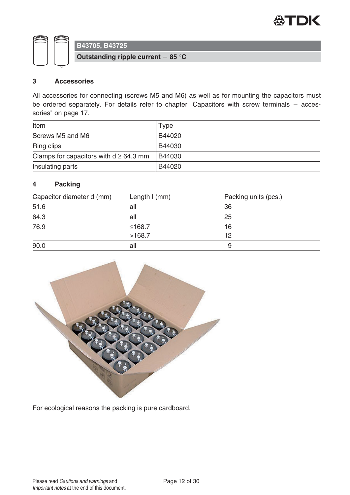



**Outstanding ripple current 85** °**C**

#### **3 Accessories**

All accessories for connecting (screws M5 and M6) as well as for mounting the capacitors must be ordered separately. For details refer to chapter "Capacitors with screw terminals  $-$  accessories" on page 17.

| Item                                        | Type   |
|---------------------------------------------|--------|
| Screws M5 and M6                            | B44020 |
| <b>Ring clips</b>                           | B44030 |
| Clamps for capacitors with $d \geq 64.3$ mm | B44030 |
| Insulating parts                            | B44020 |

#### **4 Packing**

| Capacitor diameter d (mm) | Length $l$ (mm) | Packing units (pcs.) |
|---------------------------|-----------------|----------------------|
| 51.6                      | all             | 36                   |
| 64.3                      | all             | 25                   |
| 76.9                      | ≤168.7          | 16                   |
|                           | >168.7          | 12                   |
| 90.0                      | all             | 9                    |



For ecological reasons the packing is pure cardboard.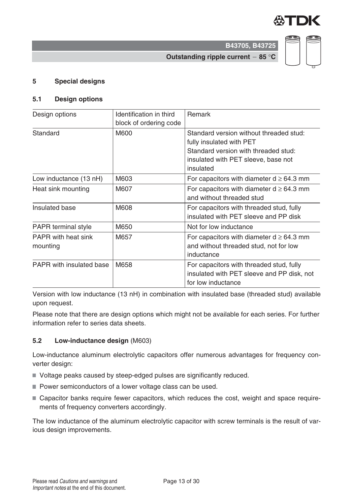

**Outstanding ripple current 85** °**C**

#### **5 Special designs**

#### **5.1 Design options**

| Design options                         | Identification in third<br>block of ordering code | <b>Remark</b>                                                                                                                                                   |
|----------------------------------------|---------------------------------------------------|-----------------------------------------------------------------------------------------------------------------------------------------------------------------|
| Standard                               | M600                                              | Standard version without threaded stud:<br>fully insulated with PET<br>Standard version with threaded stud:<br>insulated with PET sleeve, base not<br>insulated |
| Low inductance (13 nH)                 | M603                                              | For capacitors with diameter $d \geq 64.3$ mm                                                                                                                   |
| Heat sink mounting                     | M607                                              | For capacitors with diameter $d \ge 64.3$ mm<br>and without threaded stud                                                                                       |
| Insulated base                         | M608                                              | For capacitors with threaded stud, fully<br>insulated with PET sleeve and PP disk                                                                               |
| <b>PAPR</b> terminal style             | M650                                              | Not for low inductance                                                                                                                                          |
| <b>PAPR</b> with heat sink<br>mounting | M657                                              | For capacitors with diameter $d \ge 64.3$ mm<br>and without threaded stud, not for low<br>inductance                                                            |
| <b>PAPR</b> with insulated base        | M658                                              | For capacitors with threaded stud, fully<br>insulated with PET sleeve and PP disk, not<br>for low inductance                                                    |

Version with low inductance (13 nH) in combination with insulated base (threaded stud) available upon request.

Please note that there are design options which might not be available for each series. For further information refer to series data sheets.

#### **5.2 Low-inductance design** (M603)

Low-inductance aluminum electrolytic capacitors offer numerous advantages for frequency converter design:

- Voltage peaks caused by steep-edged pulses are significantly reduced.
- Power semiconductors of a lower voltage class can be used.
- Capacitor banks require fewer capacitors, which reduces the cost, weight and space requirements of frequency converters accordingly.

The low inductance of the aluminum electrolytic capacitor with screw terminals is the result of various design improvements.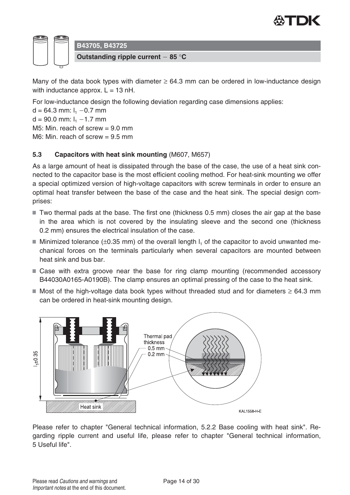



Many of the data book types with diameter  $\geq 64.3$  mm can be ordered in low-inductance design with inductance approx.  $L = 13$  nH.

For low-inductance design the following deviation regarding case dimensions applies:

 $d = 64.3$  mm:  $I_1 - 0.7$  mm  $d = 90.0$  mm:  $I_1 - 1.7$  mm M5: Min. reach of screw  $= 9.0$  mm M6: Min. reach of screw  $= 9.5$  mm

#### **5.3 Capacitors with heat sink mounting** (M607, M657)

As a large amount of heat is dissipated through the base of the case, the use of a heat sink connected to the capacitor base is the most efficient cooling method. For heat-sink mounting we offer a special optimized version of high-voltage capacitors with screw terminals in order to ensure an optimal heat transfer between the base of the case and the heat sink. The special design comprises:

- $\blacksquare$  Two thermal pads at the base. The first one (thickness 0.5 mm) closes the air gap at the base in the area which is not covered by the insulating sleeve and the second one (thickness 0.2 mm) ensures the electrical insulation of the case.
- Minimized tolerance ( $\pm 0.35$  mm) of the overall length  $I_1$  of the capacitor to avoid unwanted mechanical forces on the terminals particularly when several capacitors are mounted between heat sink and bus bar.
- Case with extra groove near the base for ring clamp mounting (recommended accessory B44030A0165-A0190B). The clamp ensures an optimal pressing of the case to the heat sink.
- Most of the high-voltage data book types without threaded stud and for diameters  $\geq 64.3$  mm can be ordered in heat-sink mounting design.



Please refer to chapter "General technical information, 5.2.2 Base cooling with heat sink". Regarding ripple current and useful life, please refer to chapter "General technical information, 5 Useful life".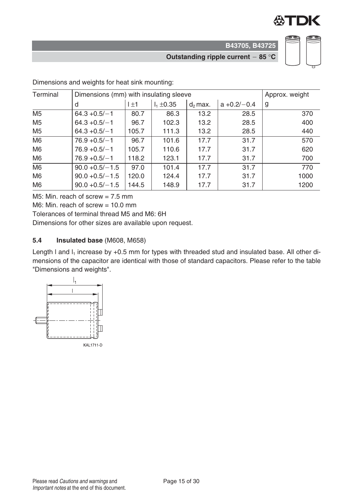

**Outstanding ripple current 85** °**C**



| Terminal       | Dimensions (mm) with insulating sleeve | Approx. weight |                |            |                |      |
|----------------|----------------------------------------|----------------|----------------|------------|----------------|------|
|                | d                                      | l ±1           | $I_1 \pm 0.35$ | $d_2$ max. | $a + 0.2/-0.4$ | g    |
| M <sub>5</sub> | $64.3 + 0.5/-1$                        | 80.7           | 86.3           | 13.2       | 28.5           | 370  |
| M <sub>5</sub> | $64.3 + 0.5/-1$                        | 96.7           | 102.3          | 13.2       | 28.5           | 400  |
| M <sub>5</sub> | $64.3 + 0.5/-1$                        | 105.7          | 111.3          | 13.2       | 28.5           | 440  |
| M <sub>6</sub> | $76.9 + 0.5/-1$                        | 96.7           | 101.6          | 17.7       | 31.7           | 570  |
| M <sub>6</sub> | $76.9 + 0.5/-1$                        | 105.7          | 110.6          | 17.7       | 31.7           | 620  |
| M <sub>6</sub> | $76.9 + 0.5/- 1$                       | 118.2          | 123.1          | 17.7       | 31.7           | 700  |
| M <sub>6</sub> | $90.0 + 0.5/- 1.5$                     | 97.0           | 101.4          | 17.7       | 31.7           | 770  |
| M <sub>6</sub> | $90.0 + 0.5/- 1.5$                     | 120.0          | 124.4          | 17.7       | 31.7           | 1000 |
| M <sub>6</sub> | $90.0 + 0.5/- 1.5$                     | 144.5          | 148.9          | 17.7       | 31.7           | 1200 |

Dimensions and weights for heat sink mounting:

M5: Min. reach of screw  $= 7.5$  mm

M6: Min. reach of screw  $= 10.0$  mm

Tolerances of terminal thread M5 and M6: 6H

Dimensions for other sizes are available upon request.

#### **5.4 Insulated base** (M608, M658)

Length I and  $I_1$  increase by +0.5 mm for types with threaded stud and insulated base. All other dimensions of the capacitor are identical with those of standard capacitors. Please refer to the table "Dimensions and weights".

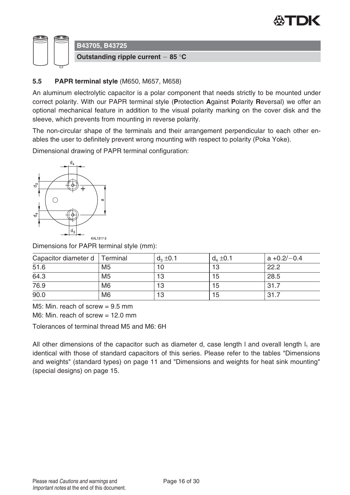



#### **5.5 PAPR terminal style** (M650, M657, M658)

An aluminum electrolytic capacitor is a polar component that needs strictly to be mounted under correct polarity. With our PAPR terminal style (**P**rotection **A**gainst **P**olarity **R**eversal) we offer an optional mechanical feature in addition to the visual polarity marking on the cover disk and the sleeve, which prevents from mounting in reverse polarity.

The non-circular shape of the terminals and their arrangement perpendicular to each other enables the user to definitely prevent wrong mounting with respect to polarity (Poka Yoke).

Dimensional drawing of PAPR terminal configuration:



Dimensions for PAPR terminal style (mm):

| Capacitor diameter d   Terminal |                | $d_3 \pm 0.1$ | $d_4 \pm 0.1$ | $ a + 0.2/-0.4 $ |
|---------------------------------|----------------|---------------|---------------|------------------|
| 51.6                            | M <sub>5</sub> | 10            | 13            | 22.2             |
| 64.3                            | M <sub>5</sub> | 13            | 15            | 28.5             |
| 76.9                            | M <sub>6</sub> | 13            | 15            | 31.7             |
| 90.0                            | M <sub>6</sub> | 13            | 15            | 31.7             |

M5: Min. reach of screw  $= 9.5$  mm

 $M6$ : Min. reach of screw = 12.0 mm

Tolerances of terminal thread M5 and M6: 6H

All other dimensions of the capacitor such as diameter d, case length I and overall length  $I_1$  are identical with those of standard capacitors of this series. Please refer to the tables "Dimensions and weights" (standard types) on page 11 and "Dimensions and weights for heat sink mounting" (special designs) on page 15.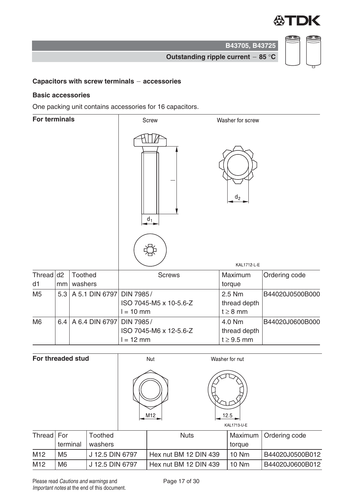

**B43705, B43725 Outstanding ripple current 85** °**C**

### **Capacitors with screw terminals accessories**

#### **Basic accessories**

One packing unit contains accessories for 16 capacitors.

| <b>For terminals</b> |     |                    | <b>Screw</b>                                       | Washer for screw                          |                 |
|----------------------|-----|--------------------|----------------------------------------------------|-------------------------------------------|-----------------|
|                      |     |                    | $d_1$                                              | $d_2$                                     |                 |
|                      |     |                    |                                                    | KAL1712-L-E                               |                 |
| Thread $d2$<br>d1    | mm  | Toothed<br>washers | <b>Screws</b>                                      | Maximum<br>torque                         | Ordering code   |
| M <sub>5</sub>       | 5.3 | A 5.1 DIN 6797     | DIN 7985/<br>ISO 7045-M5 x 10-5.6-Z<br>$l = 10$ mm | 2.5 Nm<br>thread depth<br>$t \geq 8$ mm   | B44020J0500B000 |
| M <sub>6</sub>       | 6.4 | A 6.4 DIN 6797     | DIN 7985/<br>ISO 7045-M6 x 12-5.6-Z<br>$l = 12$ mm | 4.0 Nm<br>thread depth<br>$t \geq 9.5$ mm | B44020J0600B000 |

|            | For threaded stud |                           | Nut |                       | Washer for nut      |                 |
|------------|-------------------|---------------------------|-----|-----------------------|---------------------|-----------------|
|            |                   |                           | M12 |                       | 12.5<br>KAL1713-U-E |                 |
| Thread For | terminal          | <b>Toothed</b><br>washers |     | <b>Nuts</b>           | Maximum             | Ordering code   |
|            |                   |                           |     |                       | torque              |                 |
| M12        | M <sub>5</sub>    | J 12.5 DIN 6797           |     | Hex nut BM 12 DIN 439 | 10 Nm               | B44020J0500B012 |
| M12        | M <sub>6</sub>    | J 12.5 DIN 6797           |     | Hex nut BM 12 DIN 439 | <b>10 Nm</b>        | B44020J0600B012 |

Please read Cautions and warnings and <br>
Page 17 of 30 Important notes at the end of this document.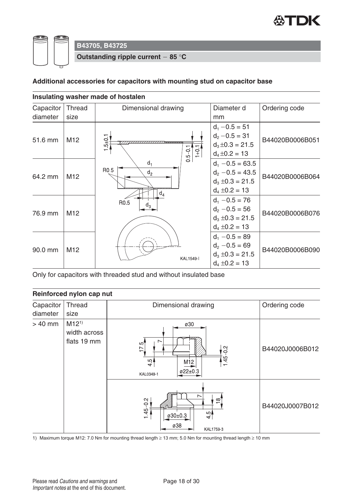

**Outstanding ripple current 85** °**C**

#### **Additional accessories for capacitors with mounting stud on capacitor base**

|           |                 | Insulating washer made of hostalen       |                                                                                        |                 |
|-----------|-----------------|------------------------------------------|----------------------------------------------------------------------------------------|-----------------|
| Capacitor | <b>Thread</b>   | Dimensional drawing                      | Diameter d                                                                             | Ordering code   |
| diameter  | size            |                                          | mm                                                                                     |                 |
| 51.6 mm   | M <sub>12</sub> | $5 + 0.1$<br>$0.5 - 0.1$<br>$1+0$        | $d_1 - 0.5 = 51$<br>$d_2 - 0.5 = 31$<br>$d_3 \pm 0.3 = 21.5$<br>$d_4 \pm 0.2 = 13$     | B44020B0006B051 |
| 64.2 mm   | M <sub>12</sub> | $d_1$<br>R0.5<br>d <sub>2</sub><br>$d_4$ | $d_1 - 0.5 = 63.5$<br>$d_2 - 0.5 = 43.5$<br>$d_3 \pm 0.3 = 21.5$<br>$d_4 \pm 0.2 = 13$ | B44020B0006B064 |
| 76.9 mm   | M <sub>12</sub> | R0.5<br>$d_3$                            | $d_1 - 0.5 = 76$<br>$d_2 - 0.5 = 56$<br>$d_3 \pm 0.3 = 21.5$<br>$d_4 \pm 0.2 = 13$     | B44020B0006B076 |
| 90.0 mm   | M <sub>12</sub> | <b>KAL1549-I</b>                         | $d_1 - 0.5 = 89$<br>$d_2 - 0.5 = 69$<br>$d_3 \pm 0.3 = 21.5$<br>$d_4 \pm 0.2 = 13$     | B44020B0006B090 |

Only for capacitors with threaded stud and without insulated base

#### **Reinforced nylon cap nut**

| Capacitor<br>diameter                                                                                                              | Thread<br>size | Dimensional drawing                                                                          | Ordering code   |
|------------------------------------------------------------------------------------------------------------------------------------|----------------|----------------------------------------------------------------------------------------------|-----------------|
| $M12^{1}$<br>$> 40$ mm<br>width across<br>flats 19 mm<br>$\overline{\phantom{0}}$<br>$\frac{5}{175}$<br>$\frac{1}{4}$<br>KAL0349-1 |                | ø30<br>$\frac{2}{1}$<br>1.45<br>M <sub>12</sub><br>$022 \pm 0.3$                             | B44020J0006B012 |
|                                                                                                                                    |                | $\overline{\phantom{0}}$<br>의<br>$145 - 0.2$<br>$\frac{1}{4}$<br>ø30±0.3<br>ø38<br>KAL1759-3 | B44020J0007B012 |

1) Maximum torque M12: 7.0 Nm for mounting thread length ≥ 13 mm; 5.0 Nm for mounting thread length ≥ 10 mm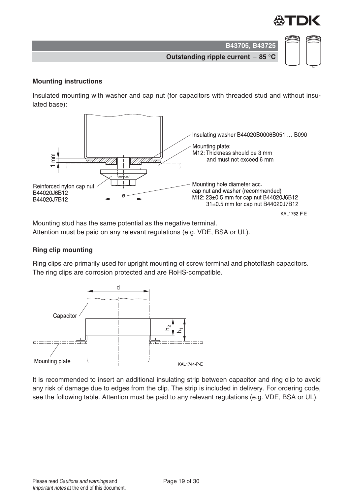

**Outstanding ripple current 85** °**C**

#### **Mounting instructions**

Insulated mounting with washer and cap nut (for capacitors with threaded stud and without insulated base):



Mounting stud has the same potential as the negative terminal. Attention must be paid on any relevant regulations (e.g. VDE, BSA or UL).

#### **Ring clip mounting**

Ring clips are primarily used for upright mounting of screw terminal and photoflash capacitors. The ring clips are corrosion protected and are RoHS-compatible.



It is recommended to insert an additional insulating strip between capacitor and ring clip to avoid any risk of damage due to edges from the clip. The strip is included in delivery. For ordering code, see the following table. Attention must be paid to any relevant regulations (e.g. VDE, BSA or UL).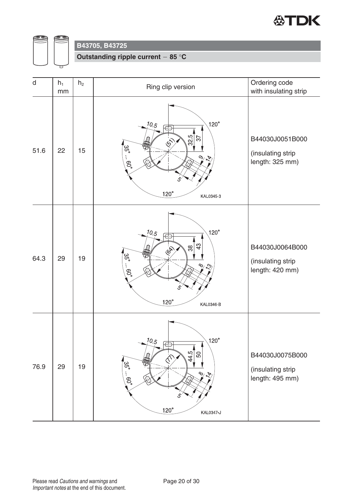



**Outstanding ripple current 85** °**C**

| $\mathsf{d}$ | $h_1$<br>mm | h <sub>2</sub> | Ring clip version                                                                                                                                                                         | Ordering code<br>with insulating strip                  |
|--------------|-------------|----------------|-------------------------------------------------------------------------------------------------------------------------------------------------------------------------------------------|---------------------------------------------------------|
| 51.6         | 22          | 15             | $120^\circ$<br>10.5<br>Æ<br>$\frac{32.5}{ }$<br>57<br>157<br>₩<br>'ယ္ပ<br>(၁<br>O <sub>3</sub><br>ŧ,<br>$\overline{\mathcal{C}}$<br>$120^\circ$<br>KAL0345-3                              | B44030J0051B000<br>(insulating strip<br>length: 325 mm) |
| 64.3         | 29          | 19             | $120^\circ$<br>10.5<br>€<br>43<br>641<br>'ದ್ಧ<br>$\frac{1}{2}$<br>$.60^{\circ}$<br>5<br>$120^\circ$<br>KAL0346-B                                                                          | B44030J0064B000<br>(insulating strip<br>length: 420 mm) |
| 76.9         | 29          | 19             | $120^\circ$<br>10.5<br>Ë<br>$\frac{44.5}{5}$<br>$50\,$<br>4<br>$\hat{\mathcal{N}}$<br>'ယ္ပ္စ<br>磊<br>$\frac{1}{2}$<br>$-0.60$<br>$\overline{\bigotimes}$<br>5<br>$120^\circ$<br>KAL0347-J | B44030J0075B000<br>(insulating strip<br>length: 495 mm) |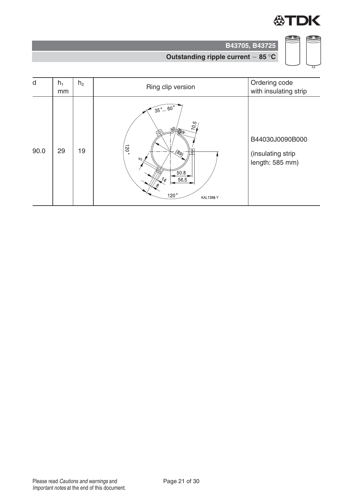

CD

(I)

**B43705, B43725**



| d    | $h_1$<br>mm | h <sub>2</sub> | Ring clip version                                                                                                                                  | Ordering code<br>with insulating strip                  |
|------|-------------|----------------|----------------------------------------------------------------------------------------------------------------------------------------------------|---------------------------------------------------------|
| 90.0 | 29          | 19             | $\sqrt{35^\circ}$ $\sqrt{60^\circ}$<br>10.5<br>$120^{\circ}$<br>(දි9)<br>١U<br>$\sim$<br>50.8<br>56.5<br>$\frac{7}{4}$<br>120°<br><b>KAL1398-Y</b> | B44030J0090B000<br>(insulating strip<br>length: 585 mm) |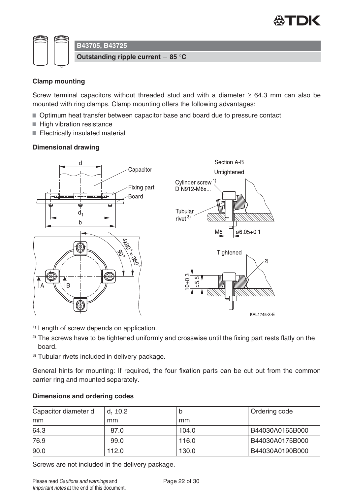

 $\overline{2}$ 

KAL1745-X-E



#### **Clamp mounting**

Screw terminal capacitors without threaded stud and with a diameter  $\geq 64.3$  mm can also be mounted with ring clamps. Clamp mounting offers the following advantages:

- Optimum heat transfer between capacitor base and board due to pressure contact
- High vibration resistance
- Electrically insulated material

#### **Dimensional drawing**



- <sup>1)</sup> Length of screw depends on application.
- $2)$  The screws have to be tightened uniformly and crosswise until the fixing part rests flatly on the board.
- 3) Tubular rivets included in delivery package.

General hints for mounting: If required, the four fixation parts can be cut out from the common carrier ring and mounted separately.

#### **Dimensions and ordering codes**

| Capacitor diameter d | $d_1 \pm 0.2$ | D     | Ordering code   |
|----------------------|---------------|-------|-----------------|
| mm                   | mm            | mm    |                 |
| 64.3                 | 87.0          | 104.0 | B44030A0165B000 |
| 76.9                 | 99.0          | 116.0 | B44030A0175B000 |
| 90.0                 | 112.0         | 130.0 | B44030A0190B000 |

Screws are not included in the delivery package.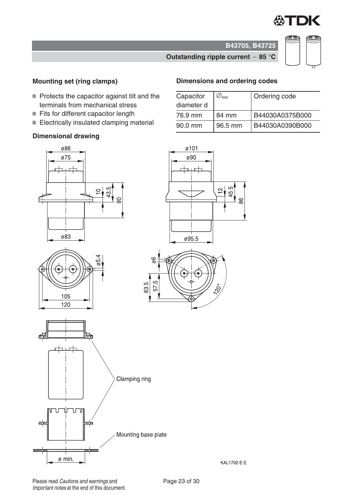

### **Outstanding ripple current 85** °**C**

#### **Mounting set (ring clamps)**

- $\blacksquare$  Protects the capacitor against tilt and the terminals from mechanical stress
- Fits for different capacitor length
- Electrically insulated clamping material

#### **Dimensional drawing**

# **Dimensions and ordering codes**

| Capacitor  | $\varnothing_{\min}$ | Ordering code   |
|------------|----------------------|-----------------|
| diameter d |                      |                 |
| 76.9 mm    | 84 mm                | B44030A0375B000 |
| 90.0 mm    | 96.5 mm              | B44030A0390B000 |

88

**B43705, B43725**









KAL1702-E-E

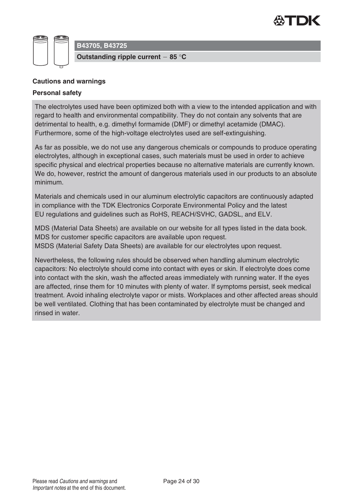



#### **Cautions and warnings**

#### **Personal safety**

The electrolytes used have been optimized both with a view to the intended application and with regard to health and environmental compatibility. They do not contain any solvents that are detrimental to health, e.g. dimethyl formamide (DMF) or dimethyl acetamide (DMAC). Furthermore, some of the high-voltage electrolytes used are self-extinguishing.

As far as possible, we do not use any dangerous chemicals or compounds to produce operating electrolytes, although in exceptional cases, such materials must be used in order to achieve specific physical and electrical properties because no alternative materials are currently known. We do, however, restrict the amount of dangerous materials used in our products to an absolute minimum.

Materials and chemicals used in our aluminum electrolytic capacitors are continuously adapted in compliance with the TDK Electronics Corporate Environmental Policy and the latest EU regulations and guidelines such as RoHS, REACH/SVHC, GADSL, and ELV.

MDS (Material Data Sheets) are available on our website for all types listed in the data book. MDS for customer specific capacitors are available upon request. MSDS (Material Safety Data Sheets) are available for our electrolytes upon request.

Nevertheless, the following rules should be observed when handling aluminum electrolytic capacitors: No electrolyte should come into contact with eyes or skin. If electrolyte does come into contact with the skin, wash the affected areas immediately with running water. If the eyes are affected, rinse them for 10 minutes with plenty of water. If symptoms persist, seek medical treatment. Avoid inhaling electrolyte vapor or mists. Workplaces and other affected areas should be well ventilated. Clothing that has been contaminated by electrolyte must be changed and rinsed in water.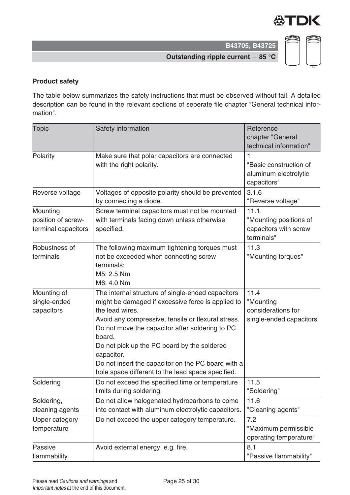

**Outstanding ripple current 85** °**C**

## **Product safety**

The table below summarizes the safety instructions that must be observed without fail. A detailed description can be found in the relevant sections of seperate file chapter "General technical information".

| <b>Topic</b>                                          | Safety information                                                                                                                                                                                                                                                                                                                                                                                                   | Reference<br>chapter "General<br>technical information"                |
|-------------------------------------------------------|----------------------------------------------------------------------------------------------------------------------------------------------------------------------------------------------------------------------------------------------------------------------------------------------------------------------------------------------------------------------------------------------------------------------|------------------------------------------------------------------------|
| Polarity                                              | Make sure that polar capacitors are connected<br>with the right polarity.                                                                                                                                                                                                                                                                                                                                            | 1<br>"Basic construction of<br>aluminum electrolytic<br>capacitors"    |
| Reverse voltage                                       | Voltages of opposite polarity should be prevented<br>by connecting a diode.                                                                                                                                                                                                                                                                                                                                          | 3.1.6<br>"Reverse voltage"                                             |
| Mounting<br>position of screw-<br>terminal capacitors | Screw terminal capacitors must not be mounted<br>with terminals facing down unless otherwise<br>specified.                                                                                                                                                                                                                                                                                                           | 11.1.<br>"Mounting positions of<br>capacitors with screw<br>terminals" |
| Robustness of<br>terminals                            | The following maximum tightening torques must<br>not be exceeded when connecting screw<br>terminals:<br>M5: 2.5 Nm<br>M6: 4.0 Nm                                                                                                                                                                                                                                                                                     | 11.3<br>"Mounting torques"                                             |
| Mounting of<br>single-ended<br>capacitors             | The internal structure of single-ended capacitors<br>might be damaged if excessive force is applied to<br>the lead wires.<br>Avoid any compressive, tensile or flexural stress.<br>Do not move the capacitor after soldering to PC<br>board.<br>Do not pick up the PC board by the soldered<br>capacitor.<br>Do not insert the capacitor on the PC board with a<br>hole space different to the lead space specified. | 11.4<br>"Mounting<br>considerations for<br>single-ended capacitors"    |
| Soldering                                             | Do not exceed the specified time or temperature<br>limits during soldering.                                                                                                                                                                                                                                                                                                                                          | 11.5<br>"Soldering"                                                    |
| Soldering,<br>cleaning agents                         | Do not allow halogenated hydrocarbons to come<br>into contact with aluminum electrolytic capacitors.                                                                                                                                                                                                                                                                                                                 | 11.6<br>"Cleaning agents"                                              |
| <b>Upper category</b><br>temperature                  | Do not exceed the upper category temperature.                                                                                                                                                                                                                                                                                                                                                                        | 7.2<br>"Maximum permissible<br>operating temperature"                  |
| Passive<br>flammability                               | Avoid external energy, e.g. fire.                                                                                                                                                                                                                                                                                                                                                                                    | 8.1<br>"Passive flammability"                                          |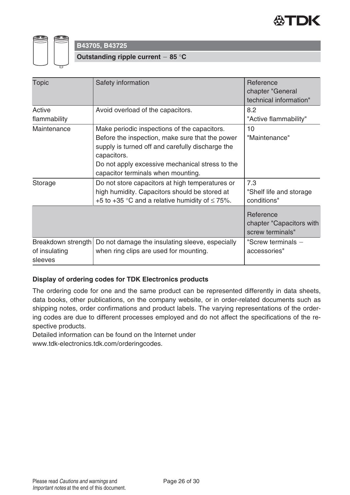



**Outstanding ripple current 85** °**C**

| <b>Topic</b>                                   | Safety information                                                                                                                                                                                                                                          | Reference<br>chapter "General<br>technical information"   |
|------------------------------------------------|-------------------------------------------------------------------------------------------------------------------------------------------------------------------------------------------------------------------------------------------------------------|-----------------------------------------------------------|
| Active<br>flammability                         | Avoid overload of the capacitors.                                                                                                                                                                                                                           | 8.2<br>"Active flammability"                              |
| Maintenance                                    | Make periodic inspections of the capacitors.<br>Before the inspection, make sure that the power<br>supply is turned off and carefully discharge the<br>capacitors.<br>Do not apply excessive mechanical stress to the<br>capacitor terminals when mounting. | 10<br>"Maintenance"                                       |
| Storage                                        | Do not store capacitors at high temperatures or<br>high humidity. Capacitors should be stored at<br>+5 to +35 °C and a relative humidity of $\leq$ 75%.                                                                                                     | 7.3<br>"Shelf life and storage<br>conditions"             |
|                                                |                                                                                                                                                                                                                                                             | Reference<br>chapter "Capacitors with<br>screw terminals" |
| Breakdown strength<br>of insulating<br>sleeves | Do not damage the insulating sleeve, especially<br>when ring clips are used for mounting.                                                                                                                                                                   | "Screw terminals $-$<br>accessories"                      |

#### **Display of ordering codes for TDK Electronics products**

The ordering code for one and the same product can be represented differently in data sheets, data books, other publications, on the company website, or in order-related documents such as shipping notes, order confirmations and product labels. The varying representations of the ordering codes are due to different processes employed and do not affect the specifications of the respective products.

Detailed information can be found on the Internet under

www.tdk-electronics.tdk.com/orderingcodes.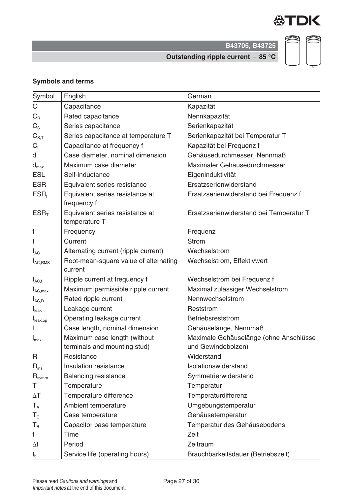

**Outstanding ripple current 85** °**C**

# S CD

### **Symbols and terms**

| Symbol                       | English                                                      | German                                                       |
|------------------------------|--------------------------------------------------------------|--------------------------------------------------------------|
| C                            | Capacitance                                                  | Kapazität                                                    |
| $C_{R}$                      | Rated capacitance                                            | Nennkapazität                                                |
| $C_{\rm S}$                  | Series capacitance                                           | Serienkapazität                                              |
| $C_{S,T}$                    | Series capacitance at temperature T                          | Serienkapazität bei Temperatur T                             |
| $C_{\text{f}}$               | Capacitance at frequency f                                   | Kapazität bei Frequenz f                                     |
| d                            | Case diameter, nominal dimension                             | Gehäusedurchmesser, Nennmaß                                  |
| $d_{\text{max}}$             | Maximum case diameter                                        | Maximaler Gehäusedurchmesser                                 |
| <b>ESL</b>                   | Self-inductance                                              | Eigeninduktivität                                            |
| <b>ESR</b>                   | Equivalent series resistance                                 | Ersatzserienwiderstand                                       |
| $ESR_t$                      | Equivalent series resistance at<br>frequency f               | Ersatzserienwiderstand bei Frequenz f                        |
| ESR <sub>T</sub>             | Equivalent series resistance at<br>temperature T             | Ersatzserienwiderstand bei Temperatur T                      |
| f                            | Frequency                                                    | Frequenz                                                     |
|                              | Current                                                      | <b>Strom</b>                                                 |
| $I_{AC}$                     | Alternating current (ripple current)                         | Wechselstrom                                                 |
| $I_{AC,RMS}$                 | Root-mean-square value of alternating<br>current             | Wechselstrom, Effektivwert                                   |
| $I_{AC,f}$                   | Ripple current at frequency f                                | Wechselstrom bei Frequenz f                                  |
| $I_{AC,max}$                 | Maximum permissible ripple current                           | Maximal zulässiger Wechselstrom                              |
| $I_{AC,R}$                   | Rated ripple current                                         | Nennwechselstrom                                             |
| $I_{\text{leak}}$            | Leakage current                                              | Reststrom                                                    |
| I <sub>leak,op</sub>         | Operating leakage current                                    | Betriebsreststrom                                            |
|                              | Case length, nominal dimension                               | Gehäuselänge, Nennmaß                                        |
| $I_{\text{max}}$             | Maximum case length (without<br>terminals and mounting stud) | Maximale Gehäuselänge (ohne Anschlüsse<br>und Gewindebolzen) |
| R                            | Resistance                                                   | Widerstand                                                   |
| $R_{ins}$                    | Insulation resistance                                        | Isolationswiderstand                                         |
| $\mathsf{R}_{\mathsf{symm}}$ | <b>Balancing resistance</b>                                  | Symmetrierwiderstand                                         |
| Τ                            | Temperature                                                  | Temperatur                                                   |
| $\Delta T$                   | Temperature difference                                       | Temperaturdifferenz                                          |
| $T_A$                        | Ambient temperature                                          | Umgebungstemperatur                                          |
| $T_{\rm c}$                  | Case temperature                                             | Gehäusetemperatur                                            |
| $T_B$                        | Capacitor base temperature                                   | Temperatur des Gehäusebodens                                 |
| t                            | Time                                                         | Zeit                                                         |
| $\Delta t$                   | Period                                                       | Zeitraum                                                     |
| $t_{b}$                      | Service life (operating hours)                               | Brauchbarkeitsdauer (Betriebszeit)                           |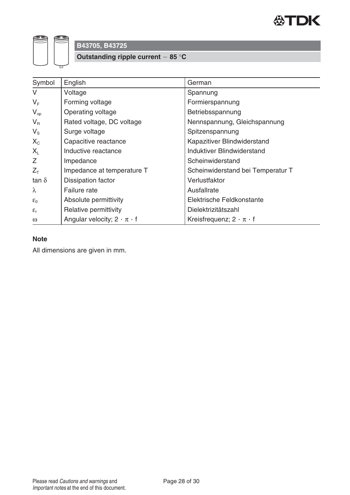

**Outstanding ripple current 85** °**C**

| Symbol             | English                                 | German                               |
|--------------------|-----------------------------------------|--------------------------------------|
| $\vee$             | Voltage                                 | Spannung                             |
| $V_F$              | Forming voltage                         | Formierspannung                      |
| $V_{op}$           | Operating voltage                       | Betriebsspannung                     |
| $V_{\rm R}$        | Rated voltage, DC voltage               | Nennspannung, Gleichspannung         |
| $V_{\rm S}$        | Surge voltage                           | Spitzenspannung                      |
| $X_{C}$            | Capacitive reactance                    | Kapazitiver Blindwiderstand          |
| $X_{L}$            | Inductive reactance                     | Induktiver Blindwiderstand           |
| Z                  | Impedance                               | Scheinwiderstand                     |
| $Z_{\text{T}}$     | Impedance at temperature T              | Scheinwiderstand bei Temperatur T    |
| tan $\delta$       | Dissipation factor                      | Verlustfaktor                        |
| $\lambda$          | Failure rate                            | Ausfallrate                          |
| $\varepsilon_0$    | Absolute permittivity                   | Elektrische Feldkonstante            |
| $\epsilon_{\rm r}$ | Relative permittivity                   | Dielektrizitätszahl                  |
| $\omega$           | Angular velocity; $2 \cdot \pi \cdot f$ | Kreisfrequenz; $2 \cdot \pi \cdot f$ |

#### **Note**

All dimensions are given in mm.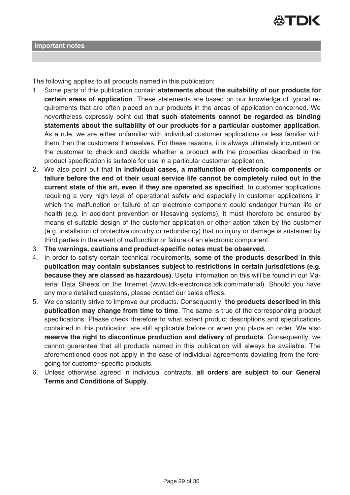

The following applies to all products named in this publication:

- 1. Some parts of this publication contain **statements about the suitability of our products for certain areas of application**. These statements are based on our knowledge of typical requirements that are often placed on our products in the areas of application concerned. We nevertheless expressly point out **that such statements cannot be regarded as binding statements about the suitability of our products for a particular customer application**. As a rule, we are either unfamiliar with individual customer applications or less familiar with them than the customers themselves. For these reasons, it is always ultimately incumbent on the customer to check and decide whether a product with the properties described in the product specification is suitable for use in a particular customer application.
- 2. We also point out that **in individual cases, a malfunction of electronic components or failure before the end of their usual service life cannot be completely ruled out in the current state of the art, even if they are operated as specified**. In customer applications requiring a very high level of operational safety and especially in customer applications in which the malfunction or failure of an electronic component could endanger human life or health (e.g. in accident prevention or lifesaving systems), it must therefore be ensured by means of suitable design of the customer application or other action taken by the customer (e.g. installation of protective circuitry or redundancy) that no injury or damage is sustained by third parties in the event of malfunction or failure of an electronic component.
- 3. **The warnings, cautions and product-specific notes must be observed.**
- 4. In order to satisfy certain technical requirements, **some of the products described in this publication may contain substances subject to restrictions in certain jurisdictions (e.g. because they are classed as hazardous)**. Useful information on this will be found in our Material Data Sheets on the Internet (www.tdk-electronics.tdk.com/material). Should you have any more detailed questions, please contact our sales offices.
- 5. We constantly strive to improve our products. Consequently, **the products described in this publication may change from time to time**. The same is true of the corresponding product specifications. Please check therefore to what extent product descriptions and specifications contained in this publication are still applicable before or when you place an order. We also **reserve the right to discontinue production and delivery of products**. Consequently, we cannot guarantee that all products named in this publication will always be available. The aforementioned does not apply in the case of individual agreements deviating from the foregoing for customer-specific products.
- 6. Unless otherwise agreed in individual contracts, **all orders are subject to our General Terms and Conditions of Supply**.